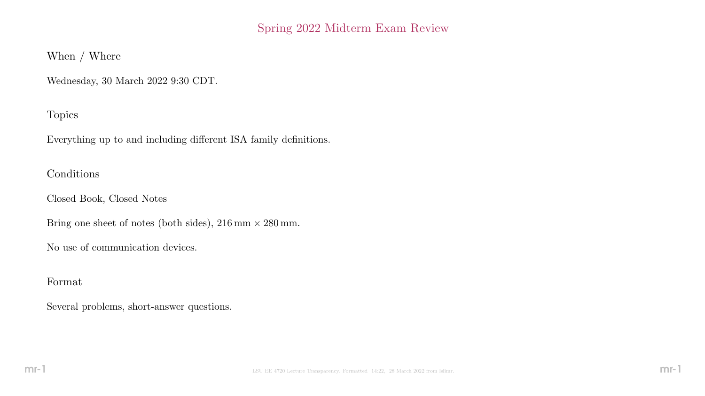# Spring 2022 Midterm Exam Review

## When / Where

Wednesday, 30 March 2022 9:30 CDT.

## Topics

Everything up to and including different ISA family definitions.

# Conditions

Closed Book, Closed Notes

Bring one sheet of notes (both sides),  $216 \text{ mm} \times 280 \text{ mm}$ .

No use of communication devices.

# Format

Several problems, short-answer questions.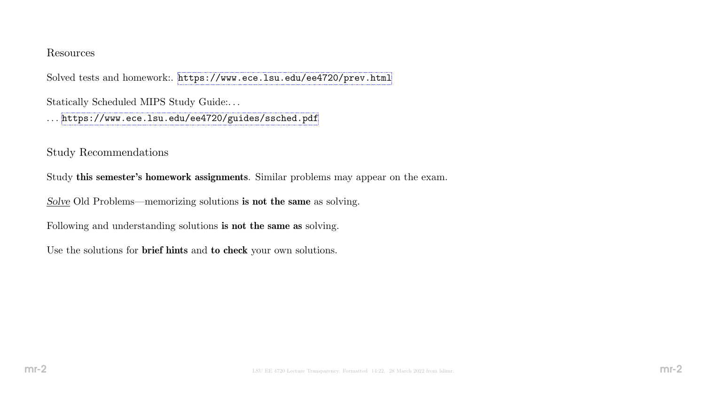#### Resources

Solved tests and homework:. <https://www.ece.lsu.edu/ee4720/prev.html>

Statically Scheduled MIPS Study Guide:. . .

. . . <https://www.ece.lsu.edu/ee4720/guides/ssched.pdf>

Study Recommendations

Study this semester's homework assignments. Similar problems may appear on the exam.

Solve Old Problems—memorizing solutions is not the same as solving.

Following and understanding solutions is not the same as solving.

Use the solutions for brief hints and to check your own solutions.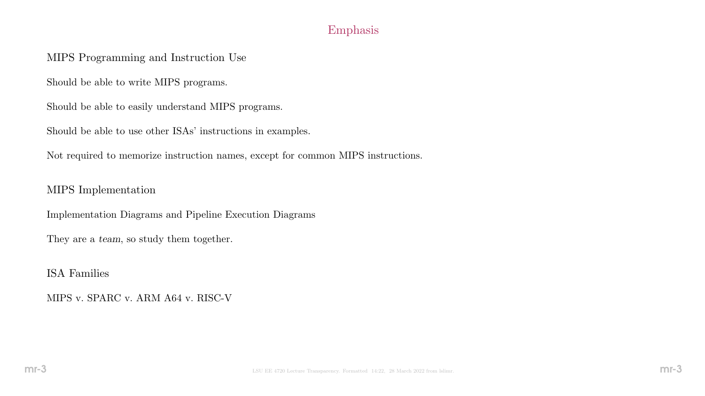# Emphasis

## MIPS Programming and Instruction Use

Should be able to write MIPS programs.

Should be able to easily understand MIPS programs.

Should be able to use other ISAs' instructions in examples.

Not required to memorize instruction names, except for common MIPS instructions.

#### MIPS Implementation

Implementation Diagrams and Pipeline Execution Diagrams

They are a team, so study them together.

ISA Families

MIPS v. SPARC v. ARM A64 v. RISC-V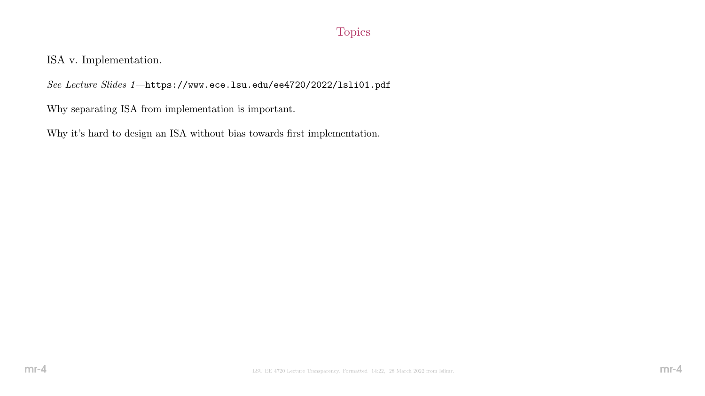# Topics

ISA v. Implementation.

See Lecture Slides 1—https://www.ece.lsu.edu/ee4720/2022/lsli01.pdf

Why separating ISA from implementation is important.

Why it's hard to design an ISA without bias towards first implementation.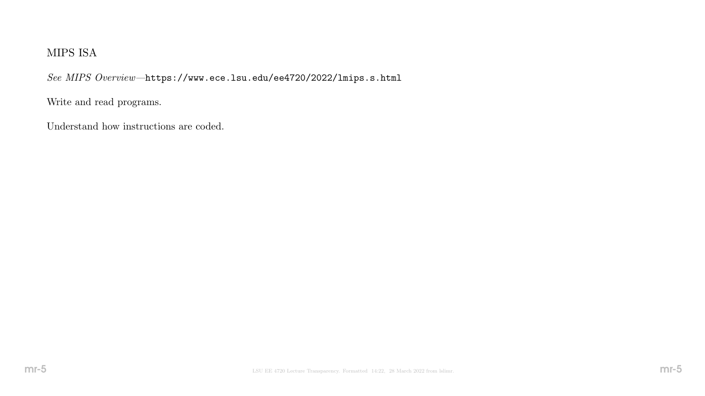# MIPS ISA

See MIPS Overview—https://www.ece.lsu.edu/ee4720/2022/lmips.s.html

Write and read programs.

Understand how instructions are coded.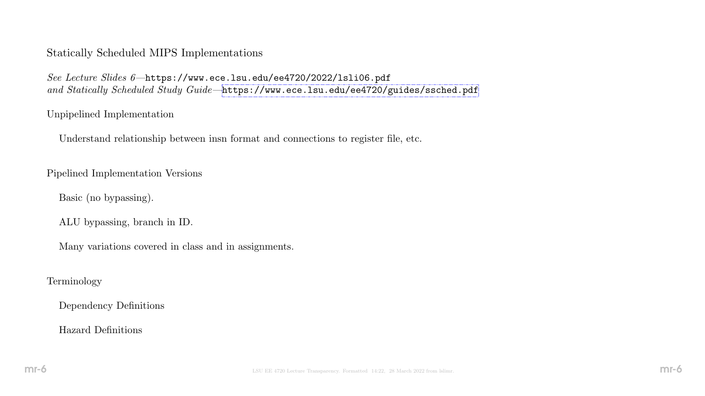#### Statically Scheduled MIPS Implementations

See Lecture Slides 6—https://www.ece.lsu.edu/ee4720/2022/lsli06.pdf and Statically Scheduled Study Guide-<https://www.ece.lsu.edu/ee4720/guides/ssched.pdf>

#### Unpipelined Implementation

Understand relationship between insn format and connections to register file, etc.

Pipelined Implementation Versions

Basic (no bypassing).

ALU bypassing, branch in ID.

Many variations covered in class and in assignments.

Terminology

Dependency Definitions

Hazard Definitions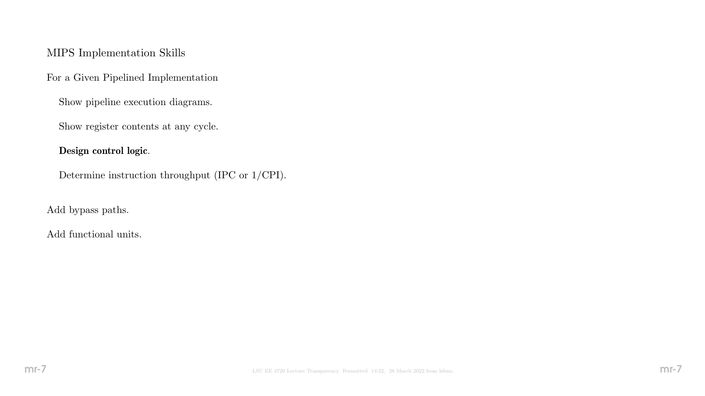### MIPS Implementation Skills

For a Given Pipelined Implementation

Show pipeline execution diagrams.

Show register contents at any cycle.

### Design control logic.

Determine instruction throughput (IPC or 1/CPI).

Add bypass paths.

Add functional units.